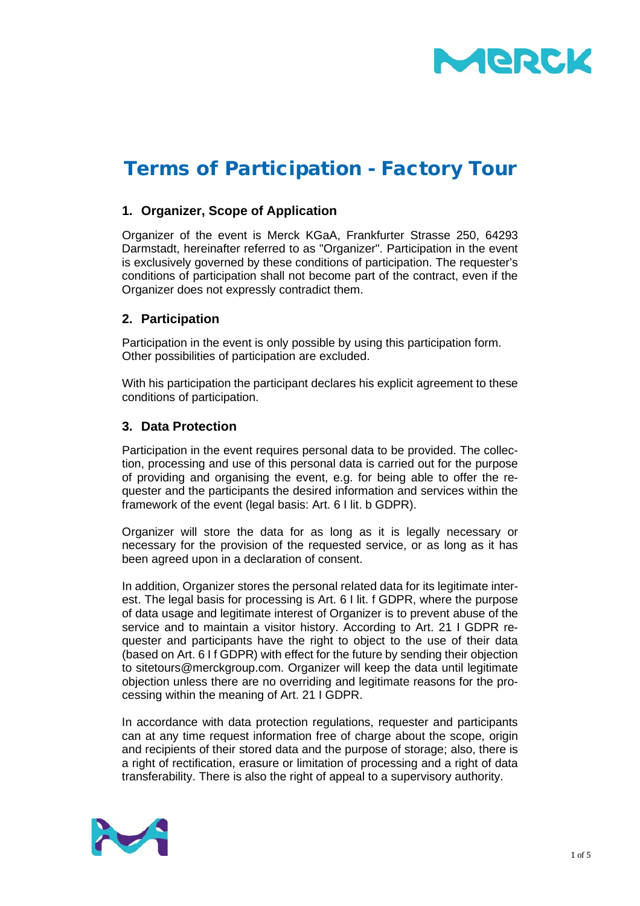

# Terms of Participation - Factory Tour

## **1. Organizer, Scope of Application**

Organizer of the event is Merck KGaA, Frankfurter Strasse 250, 64293 Darmstadt, hereinafter referred to as "Organizer". Participation in the event is exclusively governed by these conditions of participation. The requester's conditions of participation shall not become part of the contract, even if the Organizer does not expressly contradict them.

## **2. Participation**

Participation in the event is only possible by using this participation form. Other possibilities of participation are excluded.

With his participation the participant declares his explicit agreement to these conditions of participation.

## **3. Data Protection**

Participation in the event requires personal data to be provided. The collection, processing and use of this personal data is carried out for the purpose of providing and organising the event, e.g. for being able to offer the requester and the participants the desired information and services within the framework of the event (legal basis: Art. 6 I lit. b GDPR).

Organizer will store the data for as long as it is legally necessary or necessary for the provision of the requested service, or as long as it has been agreed upon in a declaration of consent.

In addition, Organizer stores the personal related data for its legitimate interest. The legal basis for processing is Art. 6 I lit. f GDPR, where the purpose of data usage and legitimate interest of Organizer is to prevent abuse of the service and to maintain a visitor history. According to Art. 21 I GDPR requester and participants have the right to object to the use of their data (based on Art. 6 I f GDPR) with effect for the future by sending their objection to sitetours@merckgroup.com. Organizer will keep the data until legitimate objection unless there are no overriding and legitimate reasons for the processing within the meaning of Art. 21 I GDPR.

In accordance with data protection regulations, requester and participants can at any time request information free of charge about the scope, origin and recipients of their stored data and the purpose of storage; also, there is a right of rectification, erasure or limitation of processing and a right of data transferability. There is also the right of appeal to a supervisory authority.

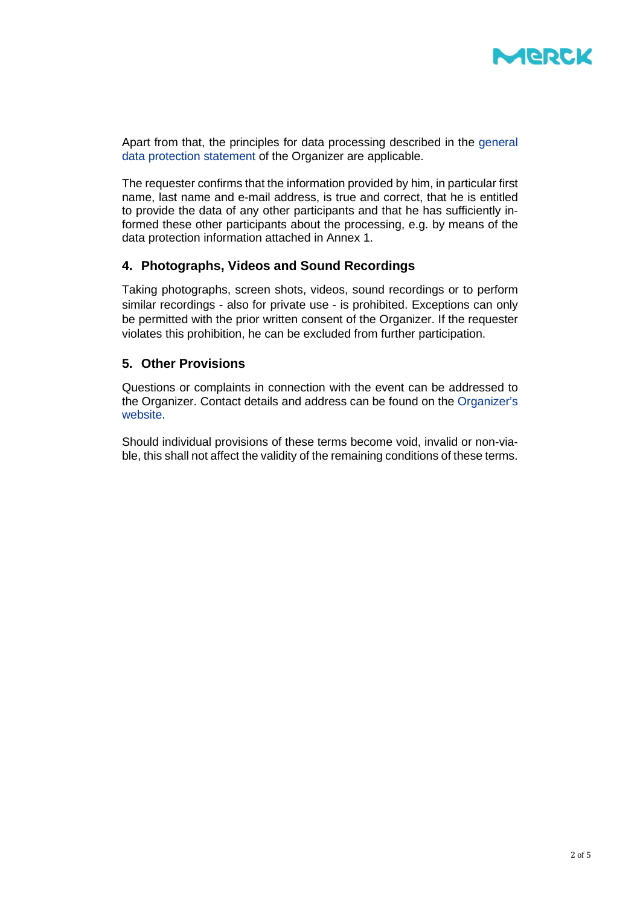

Apart from that, the principles for data processing described in the [general](https://www.merckgroup.com/en/privacy-statement.html)  [data protection statement](https://www.merckgroup.com/en/privacy-statement.html) of the Organizer are applicable.

The requester confirms that the information provided by him, in particular first name, last name and e-mail address, is true and correct, that he is entitled to provide the data of any other participants and that he has sufficiently informed these other participants about the processing, e.g. by means of the data protection information attached in Annex 1.

#### **4. Photographs, Videos and Sound Recordings**

Taking photographs, screen shots, videos, sound recordings or to perform similar recordings - also for private use - is prohibited. Exceptions can only be permitted with the prior written consent of the Organizer. If the requester violates this prohibition, he can be excluded from further participation.

#### **5. Other Provisions**

Questions or complaints in connection with the event can be addressed to the Organizer. Contact details and address can be found on the [Organizer's](https://www.merckgroup.com/de/legal-disclaimer.html)  [website.](https://www.merckgroup.com/de/legal-disclaimer.html)

Should individual provisions of these terms become void, invalid or non-viable, this shall not affect the validity of the remaining conditions of these terms.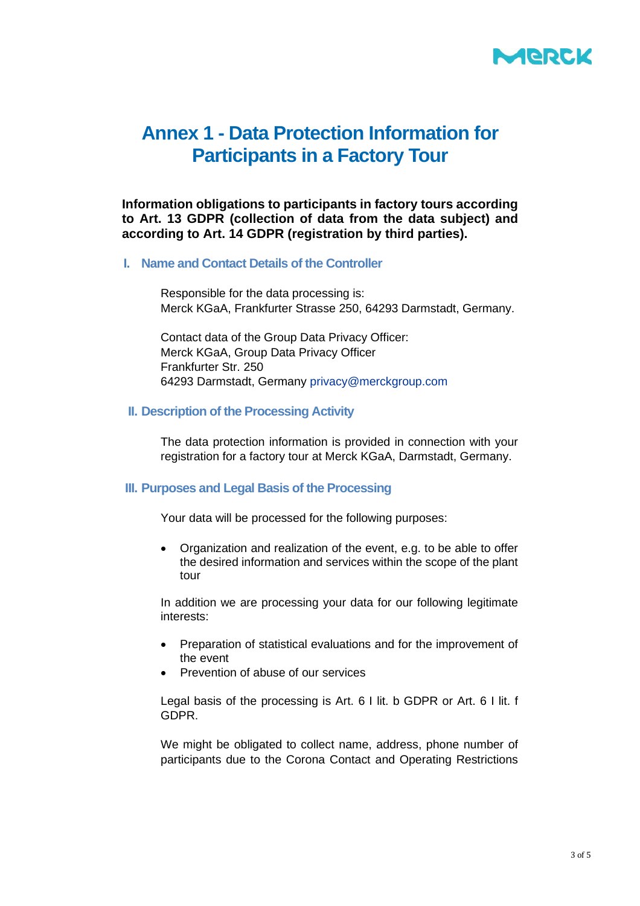

## **Annex 1 - Data Protection Information for Participants in a Factory Tour**

**Information obligations to participants in factory tours according to Art. 13 GDPR (collection of data from the data subject) and according to Art. 14 GDPR (registration by third parties).**

#### **I. Name and Contact Details of the Controller**

Responsible for the data processing is: Merck KGaA, Frankfurter Strasse 250, 64293 Darmstadt, Germany.

Contact data of the Group Data Privacy Officer: Merck KGaA, Group Data Privacy Officer Frankfurter Str. 250 64293 Darmstadt, Germany [privacy@merckgroup.com](mailto:privacy@merckgroup.com)

#### **II. Description of the Processing Activity**

The data protection information is provided in connection with your registration for a factory tour at Merck KGaA, Darmstadt, Germany.

## **III. Purposes and Legal Basis of the Processing**

Your data will be processed for the following purposes:

• Organization and realization of the event, e.g. to be able to offer the desired information and services within the scope of the plant tour

In addition we are processing your data for our following legitimate interests:

- Preparation of statistical evaluations and for the improvement of the event
- Prevention of abuse of our services

Legal basis of the processing is Art. 6 I lit. b GDPR or Art. 6 I lit. f GDPR.

We might be obligated to collect name, address, phone number of participants due to the Corona Contact and Operating Restrictions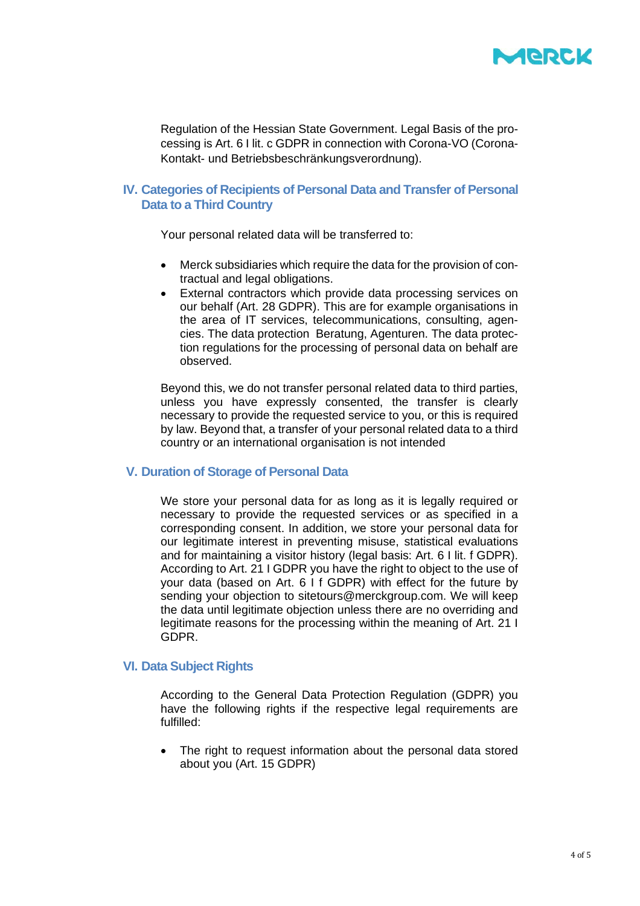

Regulation of the Hessian State Government. Legal Basis of the processing is Art. 6 I lit. c GDPR in connection with Corona-VO (Corona-Kontakt- und Betriebsbeschränkungsverordnung).

## **IV. Categories of Recipients of Personal Data and Transfer of Personal Data to a Third Country**

Your personal related data will be transferred to:

- Merck subsidiaries which require the data for the provision of contractual and legal obligations.
- External contractors which provide data processing services on our behalf (Art. 28 GDPR). This are for example organisations in the area of IT services, telecommunications, consulting, agencies. The data protection Beratung, Agenturen. The data protection regulations for the processing of personal data on behalf are observed.

Beyond this, we do not transfer personal related data to third parties, unless you have expressly consented, the transfer is clearly necessary to provide the requested service to you, or this is required by law. Beyond that, a transfer of your personal related data to a third country or an international organisation is not intended

#### **V. Duration of Storage of Personal Data**

We store your personal data for as long as it is legally required or necessary to provide the requested services or as specified in a corresponding consent. In addition, we store your personal data for our legitimate interest in preventing misuse, statistical evaluations and for maintaining a visitor history (legal basis: Art. 6 I lit. f GDPR). According to Art. 21 I GDPR you have the right to object to the use of your data (based on Art. 6 I f GDPR) with effect for the future by sending your objection to sitetours@merckgroup.com. We will keep the data until legitimate objection unless there are no overriding and legitimate reasons for the processing within the meaning of Art. 21 I GDPR.

#### **VI. Data Subject Rights**

According to the General Data Protection Regulation (GDPR) you have the following rights if the respective legal requirements are fulfilled:

The right to request information about the personal data stored about you (Art. 15 GDPR)